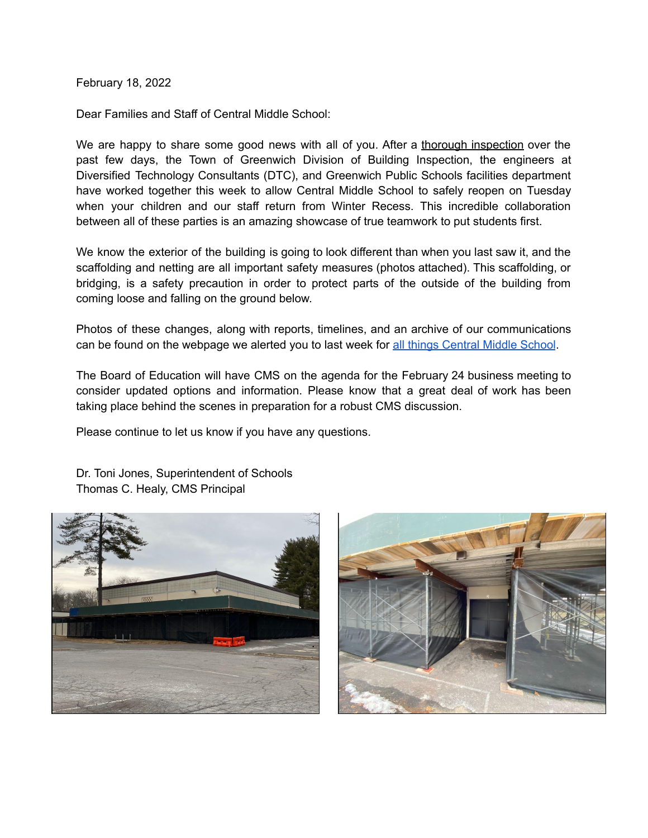February 18, 2022

Dear Families and Staff of Central Middle School:

We are happy to share some good news with all of you. After a thorough inspection over the past few days, the Town of Greenwich Division of Building Inspection, the engineers at Diversified Technology Consultants (DTC), and Greenwich Public Schools facilities department have worked together this week to allow Central Middle School to safely reopen on Tuesday when your children and our staff return from Winter Recess. This incredible collaboration between all of these parties is an amazing showcase of true teamwork to put students first.

We know the exterior of the building is going to look different than when you last saw it, and the scaffolding and netting are all important safety measures (photos attached). This scaffolding, or bridging, is a safety precaution in order to protect parts of the outside of the building from coming loose and falling on the ground below.

Photos of these changes, along with reports, timelines, and an archive of our communications can be found on the webpage we alerted you to last week for all things [Central](https://www.greenwichschools.org/departments/facilities-rentals/building-grounds-projects/cms-building-evaluation) Middle School.

The Board of Education will have CMS on the agenda for the February 24 business meeting to consider updated options and information. Please know that a great deal of work has been taking place behind the scenes in preparation for a robust CMS discussion.

Please continue to let us know if you have any questions.





Dr. Toni Jones, Superintendent of Schools Thomas C. Healy, CMS Principal